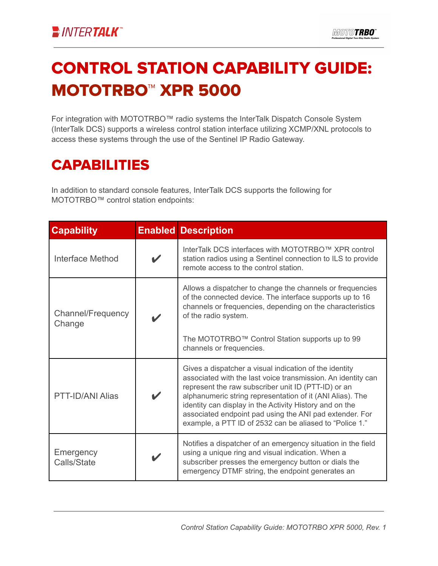## CONTROL STATION CAPABILITY GUIDE: MOTOTRBO™ XPR 5000

For integration with MOTOTRBO™ radio systems the InterTalk Dispatch Console System (InterTalk DCS) supports a wireless control station interface utilizing XCMP/XNL protocols to access these systems through the use of the Sentinel IP Radio Gateway.

## CAPABILITIES

In addition to standard console features, InterTalk DCS supports the following for MOTOTRBO™ control station endpoints:

| <b>Capability</b>           | <b>Enabled Description</b>                                                                                                                                                                                                                                                                                                                                                                                                  |
|-----------------------------|-----------------------------------------------------------------------------------------------------------------------------------------------------------------------------------------------------------------------------------------------------------------------------------------------------------------------------------------------------------------------------------------------------------------------------|
| <b>Interface Method</b>     | InterTalk DCS interfaces with MOTOTRBO™ XPR control<br>station radios using a Sentinel connection to ILS to provide<br>remote access to the control station.                                                                                                                                                                                                                                                                |
| Channel/Frequency<br>Change | Allows a dispatcher to change the channels or frequencies<br>of the connected device. The interface supports up to 16<br>channels or frequencies, depending on the characteristics<br>of the radio system.<br>The MOTOTRBO™ Control Station supports up to 99<br>channels or frequencies.                                                                                                                                   |
| PTT-ID/ANI Alias            | Gives a dispatcher a visual indication of the identity<br>associated with the last voice transmission. An identity can<br>represent the raw subscriber unit ID (PTT-ID) or an<br>alphanumeric string representation of it (ANI Alias). The<br>identity can display in the Activity History and on the<br>associated endpoint pad using the ANI pad extender. For<br>example, a PTT ID of 2532 can be aliased to "Police 1." |
| Emergency<br>Calls/State    | Notifies a dispatcher of an emergency situation in the field<br>using a unique ring and visual indication. When a<br>subscriber presses the emergency button or dials the<br>emergency DTMF string, the endpoint generates an                                                                                                                                                                                               |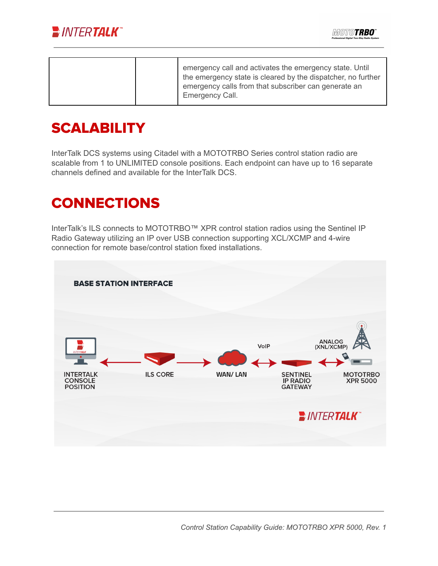

|  |  | emergency call and activates the emergency state. Until<br>the emergency state is cleared by the dispatcher, no further<br>emergency calls from that subscriber can generate an<br>Emergency Call. |
|--|--|----------------------------------------------------------------------------------------------------------------------------------------------------------------------------------------------------|
|--|--|----------------------------------------------------------------------------------------------------------------------------------------------------------------------------------------------------|

## **SCALABILITY**

InterTalk DCS systems using Citadel with a MOTOTRBO Series control station radio are scalable from 1 to UNLIMITED console positions. Each endpoint can have up to 16 separate channels defined and available for the InterTalk DCS.

## **CONNECTIONS**

InterTalk's ILS connects to MOTOTRBO™ XPR control station radios using the Sentinel IP Radio Gateway utilizing an IP over USB connection supporting XCL/XCMP and 4-wire connection for remote base/control station fixed installations.

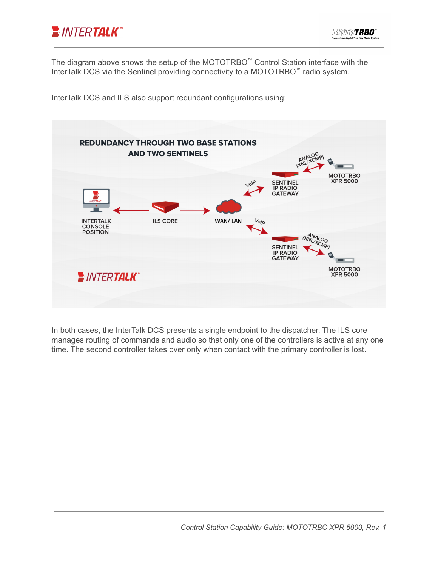

The diagram above shows the setup of the MOTOTRBO ™ Control Station interface with the InterTalk DCS via the Sentinel providing connectivity to a MOTOTRBO ™ radio system.

InterTalk DCS and ILS also support redundant configurations using:



In both cases, the InterTalk DCS presents a single endpoint to the dispatcher. The ILS core manages routing of commands and audio so that only one of the controllers is active at any one time. The second controller takes over only when contact with the primary controller is lost.